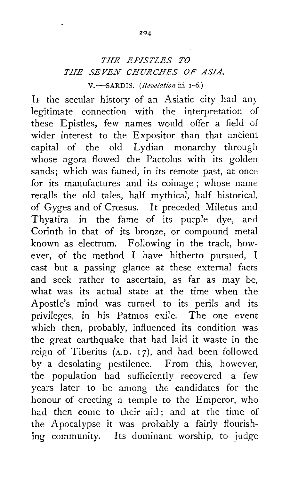## *THE EPISTLES TO THE SEVEN CHURCHES OF ASIA.*  V.<sup>-</sup>SARDIS. *(Revelation* iii. 1-6.)

IF the secular history of an Asiatic city had any legitimate connection with the interpretation of these Epistles, few names would offer a field of wider interest to the Expositor than that ancient capital of the old Lydian monarchy through whose agora flowed the Pactolus with its golden sands; which was famed, in its remote past, at once for its manufactures and its coinage ; whose name recalls the old tales, half mythical, half historical, of Gyges and of Crœsus. It preceded Miletus and Thyatira in the fame of its purple dye, and Corinth in that of its bronze, or compound metal known as electrum. Following in the track, however, of the method I have hitherto pursued, I cast but a passing glance at these external facts and seek rather to ascertain, as far as may be, what was its actual state at the time when the Apostle's mind was turned to its perils and its privileges, in his Patmos exile. The one event which then, probably, influenced its condition was the great earthquake that had laid it waste in the reign of Tiberius (A.D. 17), and had been followed by a desolating pestilence. From this, however, the population had sufficiently recovered a few years later to be among the candidates for the honour of erecting a temple to the Emperor, who had then come to their aid; and at the time of the Apocalypse it was probably a fairly flourishing community. Its dominant worship, to judge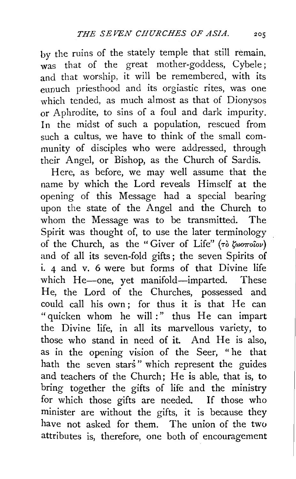by the ruins of the stately temple that still remain, was that of the great mother-goddess, Cybele ; and that worship, it will be remembered, with its eunuch priesthood and its orgiastic rites, was one which tended, as much almost as that of Dionysos or Aphrodite, to sins of a foul and dark impurity. In the midst of such a population, rescued from such a cultus, we have to think of the small community of disciples who were addressed, through their Angel, or Bishop, as the Church of Sardis.

Here, as before, we may well assume that the name by which the Lord reveals Himself at the opening of this Message had a special bearing upon the state of the Angel and the Church to whom the Message was to be transmitted. The Spirit was thought of, to use the later terminology of the Church, as the "Giver of Life" (To  $\zeta_{\omega\sigma\tau\omega\omega}$ ) and of all its seven-fold gifts ; the seven Spirits of i. 4 and v. 6 were but forms of that Divine life which He-one, yet manifold-imparted. These He, the Lord of the Churches, possessed and could call his own; for thus it is that He can "quicken whom he will :" thus He can impart the Divine life, in all its marvellous variety, to those who stand in need of it. And He is also, as in the opening vision of the Seer, " he that hath the seven stars" which represent the guides and teachers of the Church; He is able, that is, to bring together the gifts of life and the ministry for which those gifts are needed. If those who minister are without the gifts, it is because they have not asked for them. The union of the two attributes is, therefore, one both of encouragement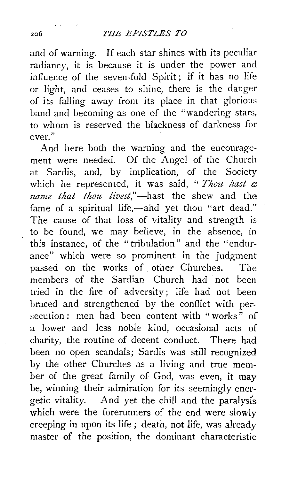and of warning. If each star shines with its peculiar radiancy, it is because it is under the power and influence of the seven-fold Spirit ; if it has no life or light, and ceases to shine, there is the danger of its falling away from its place in that glorious band and becoming as one of the "wandering stars, to whom is reserved the blackness of darkness for ever. "

And here both the warning and the encouragement were needed. Of the Angel of the Church at Sardis, and, by implication, of the Society which he represented, it was said, " $Thou$  hast  $\alpha$ *name that thou !ivest,"-hast* the shew and the fame of a spiritual life,-and yet thou "art dead." The cause of that loss of vitality and strength is to be found, we may believe, in the absence, in this instance, of the "tribulation" and the "endurance" which were so prominent in the judgment passed on the works of other Churches. The members of the Sardian Church had not been tried in the fire of adversity; life had not been braced and strengthened by the conflict with persecution: men had been content with "works" of a lower and less noble kind, occasional acts of charity, the routine of decent conduct. There had been no open scandals; Sardis was stili recognized by the other Churches as a living and true member of the great family of God, was even, it may be, winning their admiration for its seemingly energetic vitality. And yet the chill and the paralysis which were the forerunners of the end were slowly creeping in upon its life ; death, not life, was already master of the position, the dominant characteristic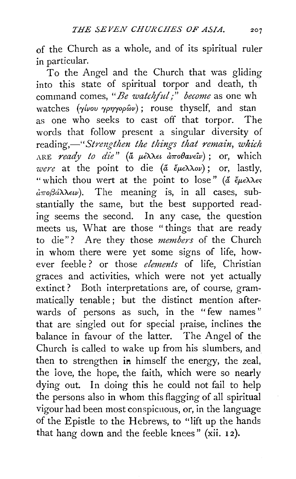of the Church as a whole, and of its spiritual ruler in particular.

To the Angel and the Church that was gliding into this state of spiritual torpor and death, th command comes, *"Be watc!iful;" become* as one wh watches (γίνου γρηγορών); rouse thyself, and stan as one who seeks to cast off that torpor. The words that follow present a singular diversity of reading,—"Strengthen the things that remain, which ARE *ready to die"* (a fLEAAH *a:rroBavE'iv)* ; or, which *were* at the point to die (<del>a</del> εμελλον); or, lastly, "which thou wert at the point to lose" ( $\breve{a}$   $\breve{\epsilon}$  $\mu \epsilon \lambda \lambda \epsilon \varsigma$  $a\pi\sigma\beta a\lambda\lambda\epsilon\omega$ ). The meaning is, in all cases, substantially the same, but the best supported reading seems the second. In any case, the question meets us, What are those "things that are ready to die"? Are they those *members* of the Church in whom there were yet some signs of life, however feeble ? or those *elements* of life, Christian graces and activities, which were not yet actually extinct? Both interpretations are, of course, grammatically tenable ; but the distinct mention afterwards of persons as such, in the "few names" that are singled out for special praise, inclines the balance in favour of the latter. The Angel of the Church is called to wake up from his slumbers, and then to strengthen in himself the energy, the zeal, the love, the hope, the faith, which were so nearly dying out. In doing this he could not fail to help the persons also in whom this flagging of all spiritual vigour had been most conspicuous, or, in the language of the Epistle to the Hebrews, to "lift up the hands that hang down and the feeble knees" (xii. 12).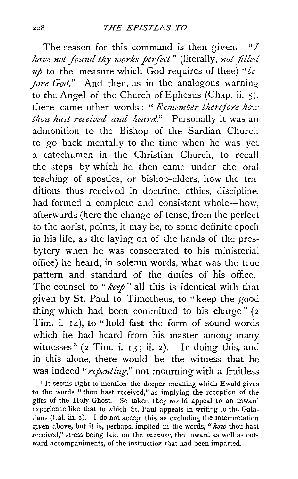The reason for this command is then given. *"I have not found thy works perfect*" (literally, not filled *up* to the measure which God requires of thee) *"be fore God.*" And then, as in the analogous warning to the Angel of the Church of Ephesus (Chap. ii. 5), there came other words : " *Remember therefore how thou hast received and heard."* Personally it was an admonition to the Bishop of the Sardian Church to go back mentally to the time when he was yet a catechumen in the Christian Church, to recall the steps by which he then came under the oral teaching of apostles, or bishop-elders, how the traditions thus received in doctrine, ethics, discipline, had formed a complete and consistent whole-how, afterwards (here the change of tense, from the perfect to the aorist, points, it may be, to some definite epoch in his life, as the laying on of the hands of the presbytery when he was consecrated to his ministerial office) he heard, in solemn words, what was the true pattern and standard of the duties of his office.<sup>1</sup> The counsel to *"keep* " all this is identical with that given by St. Paul to Timotheus, to "keep the good thing which had been committed to his charge" *(z*  Tim. i.  $14$ ), to "hold fast the form of sound words which he had heard from his master among many witnesses" (2 Tim. i. 13; ii. 2). In doing this, and in this alone, there would be the witness that he was indeed *"repenting,"* not mourning with a fruitless

<sup>1</sup> It seems right to mention the deeper meaning which Ewald gives to the words " thou hast received," as implying the reception of the gifts of the Holy Ghost. So taken they would appeal to an inward experience like that to which St. Paul appeals in writing to the Galatians (Gal. iii. 2). I do not accept this as excluding the interpretation given above, but it is, perhaps, implied in the words, *"how* thou hast received," stress being laid on the *manner,* the inward as well as outward accompaniments, of the instructior that had been imparted.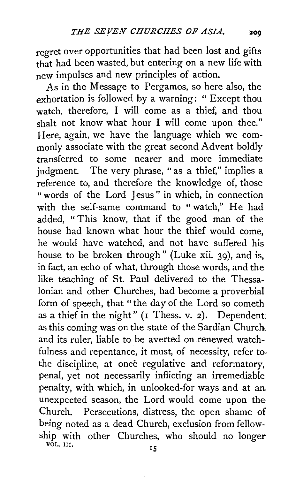regret over opportunities that had been lost and gifts that had been wasted, but entering on a new life with new impulses and new principles of action.

As in the Message to Pergamos, so here also, the exhortation is followed by a warning: " Except thou watch, therefore, I will come as a thief, and thou shalt not know what hour I will come upon thee." Here, again, we have the language which we commonly associate with the great second Advent boldly transferred to some nearer and more immediate judgment. The very phrase, "as a thief," implies a reference to, and therefore the knowledge of, those " words of the Lord Jesus" in which, in connection with the self-same command to "watch," He had added, " This know, that if the good man of the house had known what hour the thief would come, he would have watched, and not have suffered his house to be broken through" (Luke xii. 39), and is, in fact, an echo of what, through those words, and the like teaching of St. Paul delivered to the Thessalonian and other Churches, had become a proverbial form of speech, that "the day of the Lord so cometh as a thief in the night" ( $I$  Thess. v. 2). Dependent: as this coming was on the state of the Sardian Church. and its ruler, liable to be averted on renewed watchfulness and repentance, it must, of necessity, refer to. the discipline, at once regulative and reformatory, penal, yet not necessarily inflicting an irremediable· penalty, with which, in unlooked-for ways and at an unexpected season, the Lord would come upon the Church. Persecutions, distress, the open shame of being noted as a dead Church, exclusion from fellowship with other Churches, who should no longer võl. III.  $15$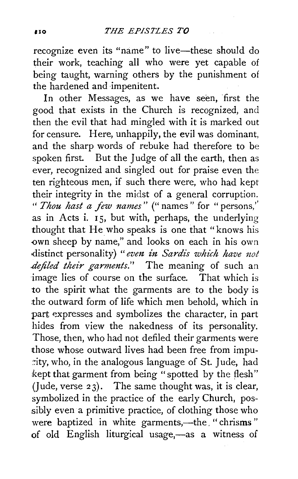recognize even its "name" to live-these should do their work, teaching all who were yet capable of being taught, warning others by the punishment of the hardened and impenitent.

In other Messages, as we have seen, first the good that exists in the Church is recognized, and then the evil that had mingled with it is marked out for censure. Here, unhappily, the evil was dominant, and the sharp words of rebuke had therefore to be spoken first. But the Judge of all the earth, then as ever, recognized and singled out for praise even the ten righteous men, if such there were, who had kept their integrity in the midst of a general corruption. " *Thou hast a few names"* (" names" for "persons," as in Acts i.  $I_5$ , but with, perhaps, the underlying thought that He who speaks is one that "knows his own sheep by name," and looks on each in his own distinct personality) "even in Sardis which have not *.defiled their garments."* The meaning of such an image lies of course on the surface. That which is to the spirit what the garments are to the body is the outward form of life which men behold, which in part expresses and symbolizes the character, in part hides from view the nakedness of its personality. Those, then, who had not defiled their garments were those whose outward lives had been free from impu- ::ity, who, in the analogous language of St. J ude, had kept that garment from being "spotted by the flesh" (Jude, verse  $23$ ). The same thought was, it is clear, symbolized in the practice of the early Church, possibly even a primitive practice, of clothing those who were baptized in white garments,-the. " chrisms " of old English liturgical usage,-as a witness of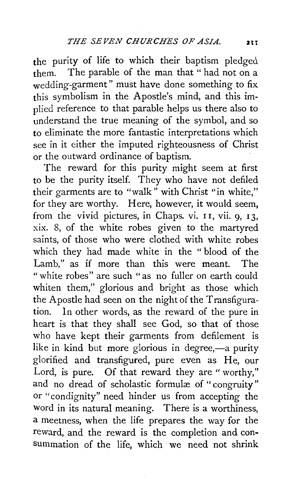the purity of life to which their baptism pledged them. The parable of the man that " had not on a wedding-garment" must have done something to fix this symbolism in the Apostle's mind, and this implied reference to that parable helps us there also to understand the true meaning of the symbol, and so to eliminate the more fantastic interpretations which see in it either the imputed righteousness of Christ or the outward ordinance of baptism.

The reward for this purity might seem at first to be the purity itself. They who have not defiled their garments are to "walk" with Christ "in white," for they are worthy. Here, however, it would seem, from the vivid pictures, in Chaps. vi. II, vii. 9, 13, xix. 8, of the white robes given to the martyred saints, of those who were clothed with white robes which they had made white in the " blood of the Lamb," as if more than this were meant. The "white robes" are such "as no fuller on earth could whiten them," glorious and bright as those which the Apostle had seen on the night of the Transfiguration. In other words, as the reward of the pure in heart is that they shall see God, so that of those who have kept their garments from defilement is like in kind but more glorious in degree,—a purity glorified and transfigured, pure even as He, our Lord, is pure. Of that reward they are "worthy," and no dread of scholastic formulæ of "congruity" or "condignity" need hinder us from accepting the word in its natural meaning. There is a worthiness, a meetness, when the life prepares the way for the reward, and the reward is the completion and consummation of the life, which we need not shrink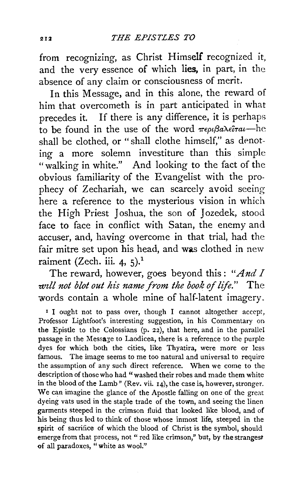from recognizing, as Christ Himself recognized it, and the very essence of which **lies,** in part, in the absence of any claim or consciousness of merit.

In this Message, and in this alone, the reward of him that overcometh is in part anticipated in what precedes it. If there is any difference, it is perhaps to be found in the use of the word  $\pi \epsilon \rho \beta a \lambda \epsilon \delta \tau a t$ -he shall be clothed, or "shall clothe himself," as denoting a more solemn investiture than this simple "walking in white." And looking to the fact of the obvious familiarity of the Evangelist with the prophecy of Zechariah, we can scarcely avoid seeing here a reference to the mysterious vision in which the High Priest Joshua, the son of Jozedek, stood face to face in conflict with Satan, the enemy and accuser, and, having overcome in that trial, had the fair mitre set upon his head, and was clothed in new raiment (Zech. iii. 4, 5).<sup>1</sup>

The reward, however, goes beyond this: *"And I will not blot out his name from the book of life.*" The words contain a whole mine of half-latent imagery.

<sup>1</sup> I ought not to pass over, though I cannot altogether accept, Professor Lightfoot's interesting suggestion, in his Commentary on the Epistle to the Colossians (p. 22), that here, and in the parallel passage in the Message to Laodicea, there is a reference to the purple dyes for which both the cities, like Thyatira, were more or less famous. The image seems to me too natural and universal to require the assumption of any such direct reference. When we come to the description of those who had "washed their robes and made them white in the blood of the Lamb" (Rev. vii. 14), the case is, however, stronger. We can imagine the glance of the Apostle falling on one of the great dyeing vats used in the staple trade of the town, and seeing the linen garments steeped in the crimson fluid that looked like blood, and of his being thus led to think of those whose inmost life, steeped in the spirit of sacrifice of which the blood of Christ is the symbol, should emerge from that process, not " red like crimson," but, by the strangest of all paradoxes, "white as wool.''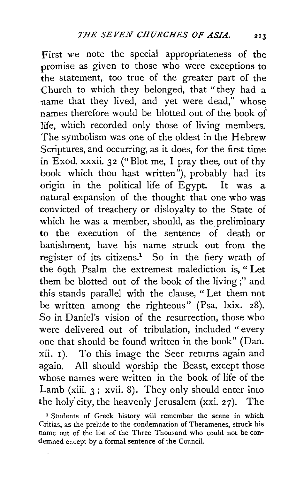First we note the special appropriateness of the promise as given to those who were exceptions to the statement, too true of the greater part of the Church to which they belonged, that "they had a name that they lived, and yet were dead," whose names therefore would be blotted out of the book of life, which recorded only those of living members. The symbolism was one of the oldest in the Hebrew Scriptures, and occurring, as it does, for the first time in Exod. xxxii. 32 ("Blot me, I pray thee, out of thy book which thou hast written"), probably had its origin in the political life of Egypt. It was a natural expansion of the thought that one who was convicted of treachery or disloyalty to the State of which he was a member, should, as the preliminary to the execution of the sentence of death or banishment, have his name struck out from the register of its citizens.<sup>1</sup> So in the fiery wrath of the 69th Psalm the extremest malediction is, " Let them be blotted out of the book of the living ;'' and this stands parallel with the clause, " Let them not be written among the righteous" (Psa. lxix. 28). So in Daniel's vision of the resurrection, those who were delivered out of tribulation, included "every one that should be found written in the book" (Dan. xii. 1). To this image the Seer returns again and again. All should worship the Beast, except those whose names were written in the book of life of the Lamb (xiii.  $3$ ; xvii. 8). They only should enter into the holy' city, the heavenly Jerusalem (xxi. 27). The

<sup>&</sup>lt;sup>1</sup> Students of Greek history will remember the scene in which Critias, as the prelude to the condemnation of Theramenes, struck his name out of the list of the Three Thousand who could not be condemned except by a formal sentence of the Council.